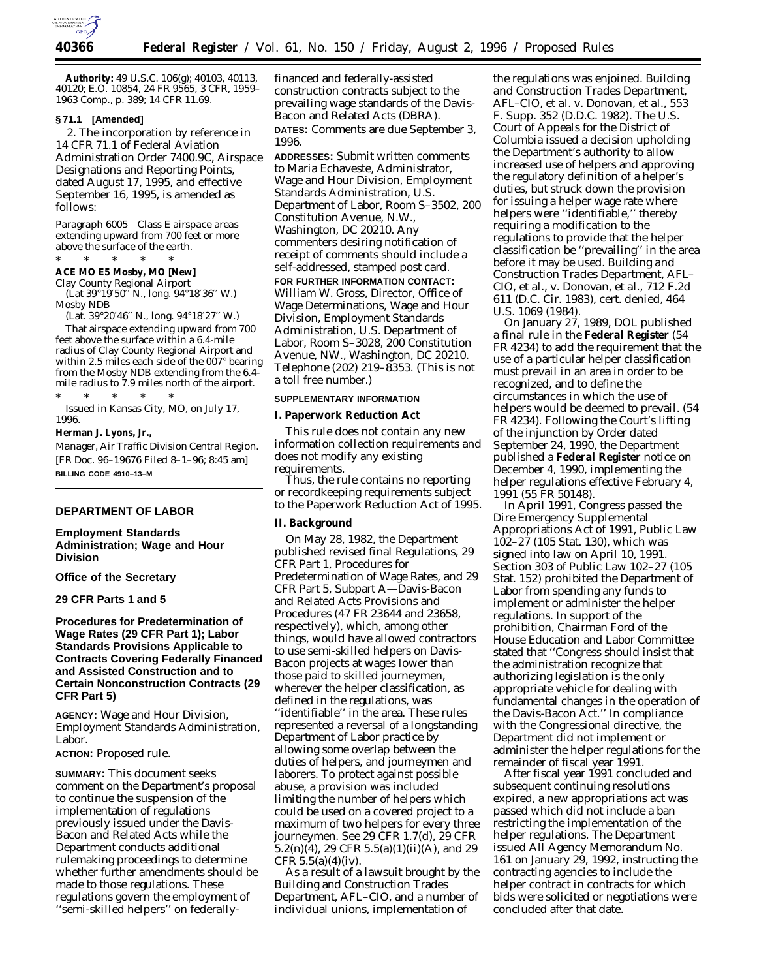

**Authority:** 49 U.S.C. 106(g); 40103, 40113, 40120; E.O. 10854, 24 FR 9565, 3 CFR, 1959– 1963 Comp., p. 389; 14 CFR 11.69.

# **§ 71.1 [Amended]**

2. The incorporation by reference in 14 CFR 71.1 of Federal Aviation Administration Order 7400.9C, Airspace Designations and Reporting Points, dated August 17, 1995, and effective September 16, 1995, is amended as follows:

*Paragraph 6005 Class E airspace areas extending upward from 700 feet or more above the surface of the earth.*

\* \* \* \* \*

**ACE MO E5 Mosby, MO [New]**

Clay County Regional Airport (Lat 39°19′50′′ N., long. 94°18′36′′ W.) Mosby NDB

(Lat. 39°20′46′′ N., long. 94°18′27′′ W.)

That airspace extending upward from 700 feet above the surface within a 6.4-mile radius of Clay County Regional Airport and within 2.5 miles each side of the 007° bearing from the Mosby NDB extending from the 6.4 mile radius to 7.9 miles north of the airport.

\* \* \* \* \* Issued in Kansas City, MO, on July 17, 1996.

**Herman J. Lyons, Jr.,**

*Manager, Air Traffic Division Central Region.* [FR Doc. 96–19676 Filed 8–1–96; 8:45 am] **BILLING CODE 4910–13–M**

## **DEPARTMENT OF LABOR**

# **Employment Standards Administration; Wage and Hour Division**

**Office of the Secretary**

**29 CFR Parts 1 and 5**

# **Procedures for Predetermination of Wage Rates (29 CFR Part 1); Labor Standards Provisions Applicable to Contracts Covering Federally Financed and Assisted Construction and to Certain Nonconstruction Contracts (29 CFR Part 5)**

**AGENCY:** Wage and Hour Division, Employment Standards Administration, Labor.

## **ACTION:** Proposed rule.

**SUMMARY:** This document seeks comment on the Department's proposal to continue the suspension of the implementation of regulations previously issued under the Davis-Bacon and Related Acts while the Department conducts additional rulemaking proceedings to determine whether further amendments should be made to those regulations. These regulations govern the employment of ''semi-skilled helpers'' on federallyfinanced and federally-assisted construction contracts subject to the prevailing wage standards of the Davis-Bacon and Related Acts (DBRA). **DATES:** Comments are due September 3, 1996.

**ADDRESSES:** Submit written comments to Maria Echaveste, Administrator, Wage and Hour Division, Employment Standards Administration, U.S. Department of Labor, Room S–3502, 200 Constitution Avenue, N.W., Washington, DC 20210. Any commenters desiring notification of receipt of comments should include a self-addressed, stamped post card. **FOR FURTHER INFORMATION CONTACT:** William W. Gross, Director, Office of Wage Determinations, Wage and Hour Division, Employment Standards Administration, U.S. Department of Labor, Room S–3028, 200 Constitution Avenue, NW., Washington, DC 20210. Telephone (202) 219–8353. (This is not a toll free number.)

#### **SUPPLEMENTARY INFORMATION**

**I. Paperwork Reduction Act**

This rule does not contain any new information collection requirements and does not modify any existing requirements.

Thus, the rule contains no reporting or recordkeeping requirements subject to the Paperwork Reduction Act of 1995.

**II. Background**

On May 28, 1982, the Department published revised final Regulations, 29 CFR Part 1, Procedures for Predetermination of Wage Rates, and 29 CFR Part 5, Subpart A—Davis-Bacon and Related Acts Provisions and Procedures (47 FR 23644 and 23658, respectively), which, among other things, would have allowed contractors to use semi-skilled helpers on Davis-Bacon projects at wages lower than those paid to skilled journeymen, wherever the helper classification, as defined in the regulations, was ''identifiable'' in the area. These rules represented a reversal of a longstanding Department of Labor practice by allowing some overlap between the duties of helpers, and journeymen and laborers. To protect against possible abuse, a provision was included limiting the number of helpers which could be used on a covered project to a maximum of two helpers for every three journeymen. See 29 CFR 1.7(d), 29 CFR  $5.2(n)(4)$ , 29 CFR  $5.5(a)(1)(ii)(A)$ , and 29 CFR  $5.5(a)(4)(iv)$ .

As a result of a lawsuit brought by the Building and Construction Trades Department, AFL–CIO, and a number of individual unions, implementation of

the regulations was enjoined. *Building and Construction Trades Department, AFL–CIO, et al.* v. *Donovan, et al.,* 553 F. Supp. 352 (D.D.C. 1982). The U.S. Court of Appeals for the District of Columbia issued a decision upholding the Department's authority to allow increased use of helpers and approving the regulatory definition of a helper's duties, but struck down the provision for issuing a helper wage rate where helpers were ''identifiable,'' thereby requiring a modification to the regulations to provide that the helper classification be ''prevailing'' in the area before it may be used. *Building and Construction Trades Department, AFL– CIO, et al.,* v. *Donovan, et al.,* 712 F.2d 611 (D.C. Cir. 1983), cert. denied, 464 U.S. 1069 (1984).

On January 27, 1989, DOL published a final rule in the **Federal Register** (54 FR 4234) to add the requirement that the use of a particular helper classification must prevail in an area in order to be recognized, and to define the circumstances in which the use of helpers would be deemed to prevail. (54 FR 4234). Following the Court's lifting of the injunction by Order dated September 24, 1990, the Department published a **Federal Register** notice on December 4, 1990, implementing the helper regulations effective February 4, 1991 (55 FR 50148).

In April 1991, Congress passed the Dire Emergency Supplemental Appropriations Act of 1991, Public Law 102–27 (105 Stat. 130), which was signed into law on April 10, 1991. Section 303 of Public Law 102–27 (105 Stat. 152) prohibited the Department of Labor from spending any funds to implement or administer the helper regulations. In support of the prohibition, Chairman Ford of the House Education and Labor Committee stated that ''Congress should insist that the administration recognize that authorizing legislation is the only appropriate vehicle for dealing with fundamental changes in the operation of the Davis-Bacon Act.'' In compliance with the Congressional directive, the Department did not implement or administer the helper regulations for the remainder of fiscal year 1991.

After fiscal year 1991 concluded and subsequent continuing resolutions expired, a new appropriations act was passed which did not include a ban restricting the implementation of the helper regulations. The Department issued All Agency Memorandum No. 161 on January 29, 1992, instructing the contracting agencies to include the helper contract in contracts for which bids were solicited or negotiations were concluded after that date.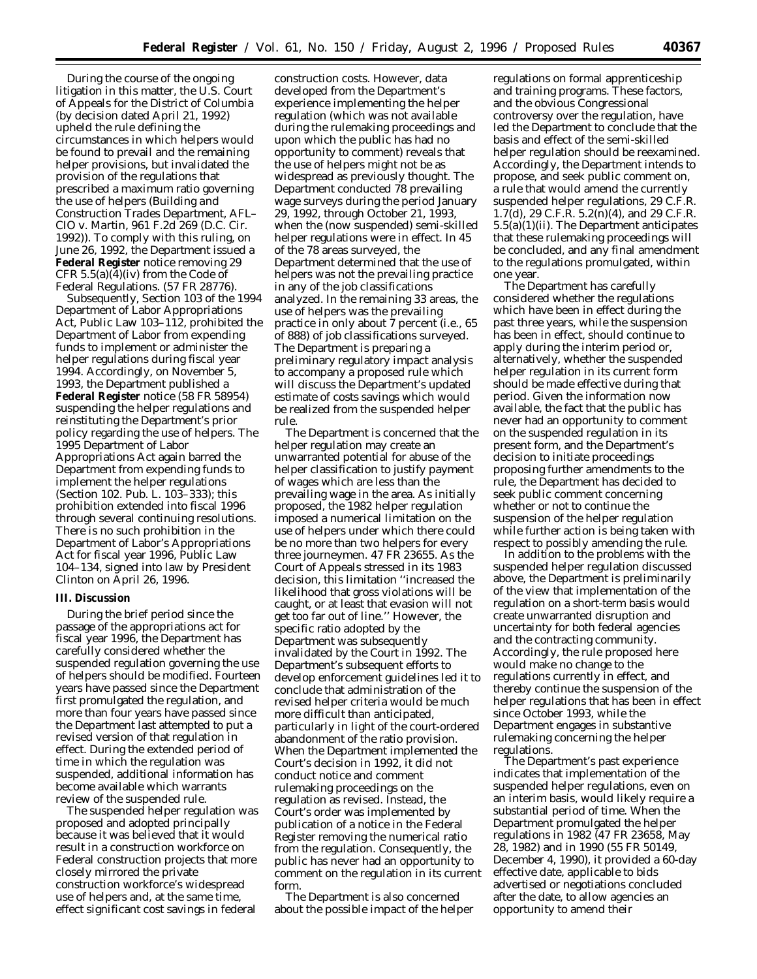During the course of the ongoing litigation in this matter, the U.S. Court of Appeals for the District of Columbia (by decision dated April 21, 1992) upheld the rule defining the circumstances in which helpers would be found to prevail and the remaining helper provisions, but invalidated the provision of the regulations that prescribed a maximum ratio governing the use of helpers (*Building and Construction Trades Department, AFL– CIO* v. *Martin,* 961 F.2d 269 (D.C. Cir. 1992)). To comply with this ruling, on June 26, 1992, the Department issued a **Federal Register** notice removing 29 CFR  $5.5(a)(4)(iv)$  from the Code of Federal Regulations. (57 FR 28776).

Subsequently, Section 103 of the 1994 Department of Labor Appropriations Act, Public Law 103–112, prohibited the Department of Labor from expending funds to implement or administer the helper regulations during fiscal year 1994. Accordingly, on November 5, 1993, the Department published a **Federal Register** notice (58 FR 58954) suspending the helper regulations and reinstituting the Department's prior policy regarding the use of helpers. The 1995 Department of Labor Appropriations Act again barred the Department from expending funds to implement the helper regulations (Section 102. Pub. L. 103–333); this prohibition extended into fiscal 1996 through several continuing resolutions. There is no such prohibition in the Department of Labor's Appropriations Act for fiscal year 1996, Public Law 104–134, signed into law by President Clinton on April 26, 1996.

### **III. Discussion**

During the brief period since the passage of the appropriations act for fiscal year 1996, the Department has carefully considered whether the suspended regulation governing the use of helpers should be modified. Fourteen years have passed since the Department first promulgated the regulation, and more than four years have passed since the Department last attempted to put a revised version of that regulation in effect. During the extended period of time in which the regulation was suspended, additional information has become available which warrants review of the suspended rule.

The suspended helper regulation was proposed and adopted principally because it was believed that it would result in a construction workforce on Federal construction projects that more closely mirrored the private construction workforce's widespread use of helpers and, at the same time, effect significant cost savings in federal

construction costs. However, data developed from the Department's experience implementing the helper regulation (which was not available during the rulemaking proceedings and upon which the public has had no opportunity to comment) reveals that the use of helpers might not be as widespread as previously thought. The Department conducted 78 prevailing wage surveys during the period January 29, 1992, through October 21, 1993, when the (now suspended) semi-skilled helper regulations were in effect. In 45 of the 78 areas surveyed, the Department determined that the use of helpers was not the prevailing practice in any of the job classifications analyzed. In the remaining 33 areas, the use of helpers was the prevailing practice in only about 7 percent (*i.e.*, 65 of 888) of job classifications surveyed. The Department is preparing a preliminary regulatory impact analysis to accompany a proposed rule which will discuss the Department's updated estimate of costs savings which would be realized from the suspended helper rule.

The Department is concerned that the helper regulation may create an unwarranted potential for abuse of the helper classification to justify payment of wages which are less than the prevailing wage in the area. As initially proposed, the 1982 helper regulation imposed a numerical limitation on the use of helpers under which there could be no more than two helpers for every three journeymen. 47 FR 23655. As the Court of Appeals stressed in its 1983 decision, this limitation ''increased the likelihood that gross violations will be caught, or at least that evasion will not get too far out of line.'' However, the specific ratio adopted by the Department was subsequently invalidated by the Court in 1992. The Department's subsequent efforts to develop enforcement guidelines led it to conclude that administration of the revised helper criteria would be much more difficult than anticipated, particularly in light of the court-ordered abandonment of the ratio provision. When the Department implemented the Court's decision in 1992, it did not conduct notice and comment rulemaking proceedings on the regulation as revised. Instead, the Court's order was implemented by publication of a notice in the Federal Register removing the numerical ratio from the regulation. Consequently, the public has never had an opportunity to comment on the regulation in its current form.

The Department is also concerned about the possible impact of the helper regulations on formal apprenticeship and training programs. These factors, and the obvious Congressional controversy over the regulation, have led the Department to conclude that the basis and effect of the semi-skilled helper regulation should be reexamined. Accordingly, the Department intends to propose, and seek public comment on, a rule that would amend the currently suspended helper regulations, 29 C.F.R. 1.7(d), 29 C.F.R. 5.2(n)(4), and 29 C.F.R. 5.5(a)(1)(ii). The Department anticipates that these rulemaking proceedings will be concluded, and any final amendment to the regulations promulgated, within one year.

The Department has carefully considered whether the regulations which have been in effect during the past three years, while the suspension has been in effect, should continue to apply during the interim period or, alternatively, whether the suspended helper regulation in its current form should be made effective during that period. Given the information now available, the fact that the public has never had an opportunity to comment on the suspended regulation in its present form, and the Department's decision to initiate proceedings proposing further amendments to the rule, the Department has decided to seek public comment concerning whether or not to continue the suspension of the helper regulation while further action is being taken with respect to possibly amending the rule.

In addition to the problems with the suspended helper regulation discussed above, the Department is preliminarily of the view that implementation of the regulation on a short-term basis would create unwarranted disruption and uncertainty for both federal agencies and the contracting community. Accordingly, the rule proposed here would make no change to the regulations currently in effect, and thereby continue the suspension of the helper regulations that has been in effect since October 1993, while the Department engages in substantive rulemaking concerning the helper regulations.

The Department's past experience indicates that implementation of the suspended helper regulations, even on an interim basis, would likely require a substantial period of time. When the Department promulgated the helper regulations in 1982 (47 FR 23658, May 28, 1982) and in 1990 (55 FR 50149, December 4, 1990), it provided a 60-day effective date, applicable to bids advertised or negotiations concluded after the date, to allow agencies an opportunity to amend their